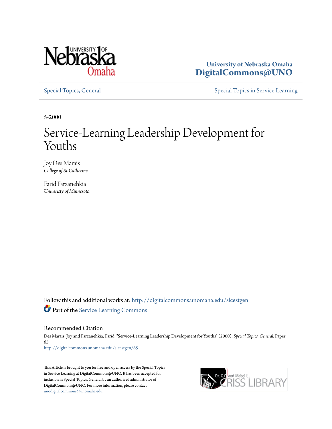

**University of Nebraska Omaha [DigitalCommons@UNO](http://digitalcommons.unomaha.edu?utm_source=digitalcommons.unomaha.edu%2Fslcestgen%2F65&utm_medium=PDF&utm_campaign=PDFCoverPages)**

[Special Topics, General](http://digitalcommons.unomaha.edu/slcestgen?utm_source=digitalcommons.unomaha.edu%2Fslcestgen%2F65&utm_medium=PDF&utm_campaign=PDFCoverPages) [Special Topics in Service Learning](http://digitalcommons.unomaha.edu/slcespecialtopics?utm_source=digitalcommons.unomaha.edu%2Fslcestgen%2F65&utm_medium=PDF&utm_campaign=PDFCoverPages)

5-2000

## Service-Learning Leadership Development for Youths

Joy Des Marais *College of St Catherine*

Farid Farzanehkia *Univeristy of Minnesota*

Follow this and additional works at: [http://digitalcommons.unomaha.edu/slcestgen](http://digitalcommons.unomaha.edu/slcestgen?utm_source=digitalcommons.unomaha.edu%2Fslcestgen%2F65&utm_medium=PDF&utm_campaign=PDFCoverPages) Part of the [Service Learning Commons](http://network.bepress.com/hgg/discipline/1024?utm_source=digitalcommons.unomaha.edu%2Fslcestgen%2F65&utm_medium=PDF&utm_campaign=PDFCoverPages)

Recommended Citation

Des Marais, Joy and Farzanehkia, Farid, "Service-Learning Leadership Development for Youths" (2000). *Special Topics, General.* Paper 65. [http://digitalcommons.unomaha.edu/slcestgen/65](http://digitalcommons.unomaha.edu/slcestgen/65?utm_source=digitalcommons.unomaha.edu%2Fslcestgen%2F65&utm_medium=PDF&utm_campaign=PDFCoverPages)

This Article is brought to you for free and open access by the Special Topics in Service Learning at DigitalCommons@UNO. It has been accepted for inclusion in Special Topics, General by an authorized administrator of DigitalCommons@UNO. For more information, please contact [unodigitalcommons@unomaha.edu](mailto:unodigitalcommons@unomaha.edu).

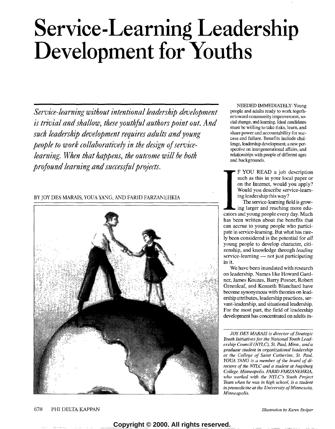# **Service-Learning Leadership Development for Youths**

*Service-learning without intentional leadership development is trivial and shallow, these youthful authors point out. And such leadership development requires adults and young people to work collaboratively in the design of servicelearning. When that happens, the outcome will be both profound learning and sua:essful projetts.* 

### BY JOY DES MARAIS, YOUA YANG, AND FARID FARZANEHKIA



NEEDED IMMEDIATELY: Young people and adults ready to work togcthertoward community improvement, social change, and learning. Ideal candidates must be willing to take risks, learn, and share power and accountability for success and failure. Benefits include challenge, leadership development, a new perspective on intergenerational affairs, and relationships with people of different ages and backgrounds.

F YOU READ a job description such as this in your local paper or on the Internet, would you apply? Would you describe service-learning leadership this way?

The service-learning field is growing larger and reaching more educators and young people every day. Much has been written about the benefits that can accrue to young people who participate in service-learning. But what has rarely been considered is the potential for *all*  young people to develop character, citizenship, and knowledge through *leading*  $s$ ervice-learning  $-$  not just participating in it.

We have been inundated with research on leadership. Names like Howard Gardner, James Kouzes, Barry Posner, Robert Greenleaf, and Kenneth Blanchard have become synonymous with theories on leadership attributes, leadership practices, servant-leadership, and situational leadership. For the most part, the field of leadership development has concentrated on adults in-

*JOY DES MARAIS is director of Strategic Youth Initiatives for the National Youth Leadership Council (NYLC), St. Paul, Minn., and a graduate student in organizational leadership at the College of Saint Catherine, St. Paul. YOUA YANG is a member of the board of directors of the NYLC and a student at Augsburg College, Minneapolis. FARJD FARZANEHKIA, who worked with the NYLC's Youth Project Team when he was in high school, is a student in premedir:ine at the University of Minnesota, Minneapolis.*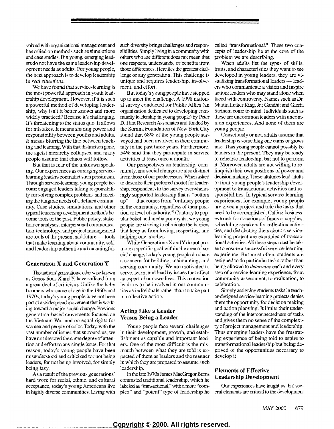volved with organizational management and bas relied on methods such as simulations and case studies. But young, emerging leaders do not have the same leadership development needs as adults. For young people, the best approach is to develop leadership in *real situations.* 

We have found that service-learning is the most powerful approach in youth leadership development. However, if it is such a powerful method of developing leadership, why isn't it better known and more widely practiced? Because it's challenging. It's threatening to the status quo. it allows for mistakes. It means sharing power and responsibility between youths and adults. It means blurring the line between teaching and learning. With that distinction gone, the ageist hierarchy collapses, and many people assume that chaos will follow.

But that is fear of the unknown speaking. Our experiences as emerging servicelearning leaders contradict such pessimism. Through service-learning, young people become engaged leaders taking responsibility for solving complex problems and meeting the tangible needs of a defined community. Case studies, simulations, and other typical leadership development methods become tools of the past. Public policy, stakeholder analyses, interpersonal communication, technology, and project management are tools of the present and future - tools that make learning about community, self, and leadership authentic and meaningful.

#### Generation X and Generation Y

1he authors' generations, otherwise known as Generations X andY, have suffered from a great deal of criticism. Unlike the baby boomers who came of age in the 1960s and 1970s, today's young people have not been part of a widespread movement that is working toward a major social change. Previous generation-based movements focused on the Vietnam War and on equal rights for women and people of color. Today, with the vast number of issues that surround us, we have not devoted the same degree of attention and effort to any single issue, For that reason, today's young people have been misunderstood and criticized for not being leaders, for not being involved, for simply being lazy.

As a result of the previous generations' hard work for racial, ethnic, and cultural acceptance, today's young Americans live in highly diverse communities. Living with such diversity brings challenges and responsibilities. Simply living in a community with others who are different does not mean that one respects, understands, or benefits from those differences. Here lies the greatest challenge of any generation. This challenge is unique and requires leadership, involvement, and effort.

But today's young people have stepped up to meet the challenge. A 1998 national survey conducted for Public Allies (an organization dedicated to developing community leadership in young people) by Peter D. Hart Research Associates and funded by the Surdna Foundation of New York City found that 68% of the young people surveyed had been involved in their community in the past three years. Furthermore, 54% said that they participate in service activities at least once a month.<sup>1</sup>

Our perspectives on leadership, community, and social change are also distinct from those of our predecessors. When asked to describe their preferred model for leadership, respondents to the survey overwhelmingly supported leadership that is "bottom up" - that comes from "ordinary people in the community, regardless of their position or level of authority."2 Contrary to popular belief and media portrayals, we young people are striving to eliminate the baniers that keep us from loving, respecting, and helping one another.

While Generations X andY do not promote a specific goal within the area of social change, today's young people do share a concern for building, maintaining, and serving community. We are motivated to serve, learn, and lead by issues that affect an aspect of our own lives. This motivation leads us to be involved in our communities as individuals rather than to take part in collective action.

#### Acting Like a Leader Versus Being a Leader

Young people face several challenges in their development, growth, and establishment as capable and important leaders. One of the most difficult is the mismatch between what they are told is expected of them as leaders and the manner in which they are prepared to assume such leadership.

In the late 1970s James MacGregor Bums contrasted traditional leadership, which he labeled as "transactional;' with a more "complex" and "potent" type of leadership he called "transformational."' These two concepts of leadership lie at the core of the problem we are describing.

When adults list the types of skills, traits, and characteristics they want to see developed in young leaders, they are visualizing transformational leaders — leaders who communicate a vision and inspire action; leaders who may stand alone when faced with controversy. Names such as Dr. Martin Luther King, Jr.; Gandhi; and Gloria Steinem come to mind. Individuals such as these are uncommon leaders with uncommon experiences. And none of them are young people.

Consciously or not, adults assume that leadership is something one earns or grows into. Thus young people cannot possibly be leaders in the present. They may be ready to rehearse leadership, but not to perform it. Moreover, adults are not willing to relinquish their own positions of power and decision making. These attitudes lead adults to limit young people's leadership development to transactional activities and responsibilities. In typical service-learning experiences, for example, young people are given a project and told the tasks that need to be accomplished. Calling businesses to ask for donations of funds or supplies, scheduling speakers for reflection activities, and distributing fliers about a servicelearning project are examples of transactional activities. All these steps must be taken to ensure a successful service-learning experience. But most often, students are assigned to do particular tasks rather than being allowed to *determine* each and every step of a service-learning experience, from community assessment, to evaluation, to celebration.

Simply assigning students tasks in teacher-designed service-learning projects denies them the opportunity for decision making and action planning. It limits their understanding of the interconnectedness of tasks and gives them no sense of the complexity of project management and leadership. Thus emerging leaders have the frustrating experience of being told to aspire to transformational leadership but being deprived of the opportunities necessary to develop it.

#### Elements of Effective Leadership Development

Our experiences have taught us that several elements are critical to the development